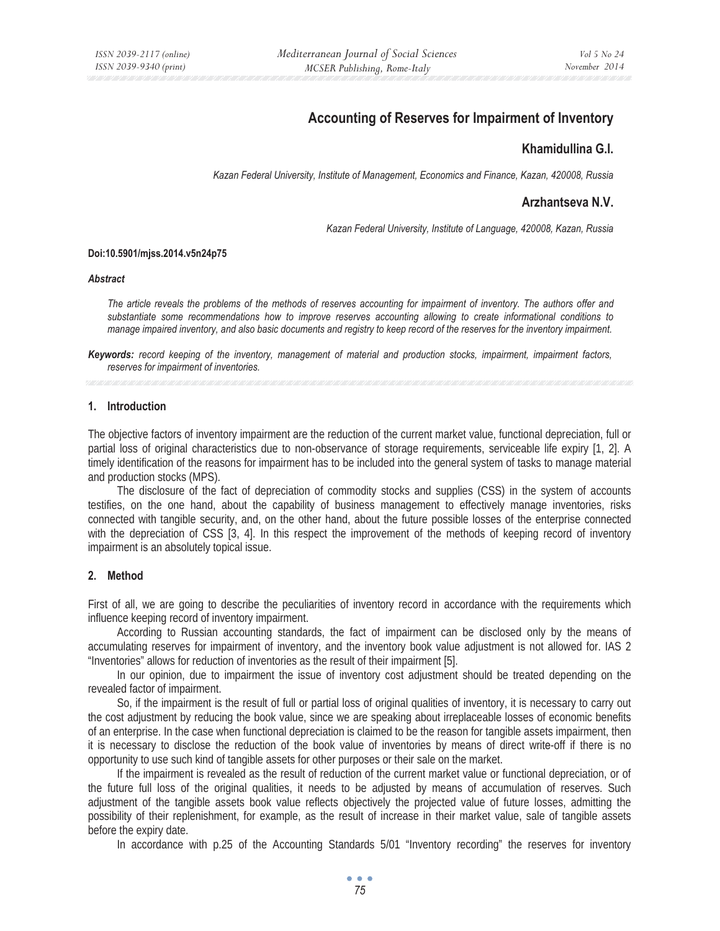# **Accounting of Reserves for Impairment of Inventory**

## **Khamidullina G.I.**

*Kazan Federal University, Institute of Management, Economics and Finance, Kazan, 420008, Russia* 

# **Arzhantseva N.V.**

*Kazan Federal University, Institute of Language, 420008, Kazan, Russia* 

#### **Doi:10.5901/mjss.2014.v5n24p75**

#### *Abstract*

*The article reveals the problems of the methods of reserves accounting for impairment of inventory. The authors offer and substantiate some recommendations how to improve reserves accounting allowing to create informational conditions to manage impaired inventory, and also basic documents and registry to keep record of the reserves for the inventory impairment.* 

*Keywords: record keeping of the inventory, management of material and production stocks, impairment, impairment factors, reserves for impairment of inventories.* 

#### **1. Introduction**

The objective factors of inventory impairment are the reduction of the current market value, functional depreciation, full or partial loss of original characteristics due to non-observance of storage requirements, serviceable life expiry [1, 2]. A timely identification of the reasons for impairment has to be included into the general system of tasks to manage material and production stocks (MPS).

The disclosure of the fact of depreciation of commodity stocks and supplies (CSS) in the system of accounts testifies, on the one hand, about the capability of business management to effectively manage inventories, risks connected with tangible security, and, on the other hand, about the future possible losses of the enterprise connected with the depreciation of CSS [3, 4]. In this respect the improvement of the methods of keeping record of inventory impairment is an absolutely topical issue.

#### **2. Method**

First of all, we are going to describe the peculiarities of inventory record in accordance with the requirements which influence keeping record of inventory impairment.

According to Russian accounting standards, the fact of impairment can be disclosed only by the means of accumulating reserves for impairment of inventory, and the inventory book value adjustment is not allowed for. IAS 2 "Inventories" allows for reduction of inventories as the result of their impairment [5].

In our opinion, due to impairment the issue of inventory cost adjustment should be treated depending on the revealed factor of impairment.

So, if the impairment is the result of full or partial loss of original qualities of inventory, it is necessary to carry out the cost adjustment by reducing the book value, since we are speaking about irreplaceable losses of economic benefits of an enterprise. In the case when functional depreciation is claimed to be the reason for tangible assets impairment, then it is necessary to disclose the reduction of the book value of inventories by means of direct write-off if there is no opportunity to use such kind of tangible assets for other purposes or their sale on the market.

If the impairment is revealed as the result of reduction of the current market value or functional depreciation, or of the future full loss of the original qualities, it needs to be adjusted by means of accumulation of reserves. Such adjustment of the tangible assets book value reflects objectively the projected value of future losses, admitting the possibility of their replenishment, for example, as the result of increase in their market value, sale of tangible assets before the expiry date.

In accordance with p.25 of the Accounting Standards 5/01 "Inventory recording" the reserves for inventory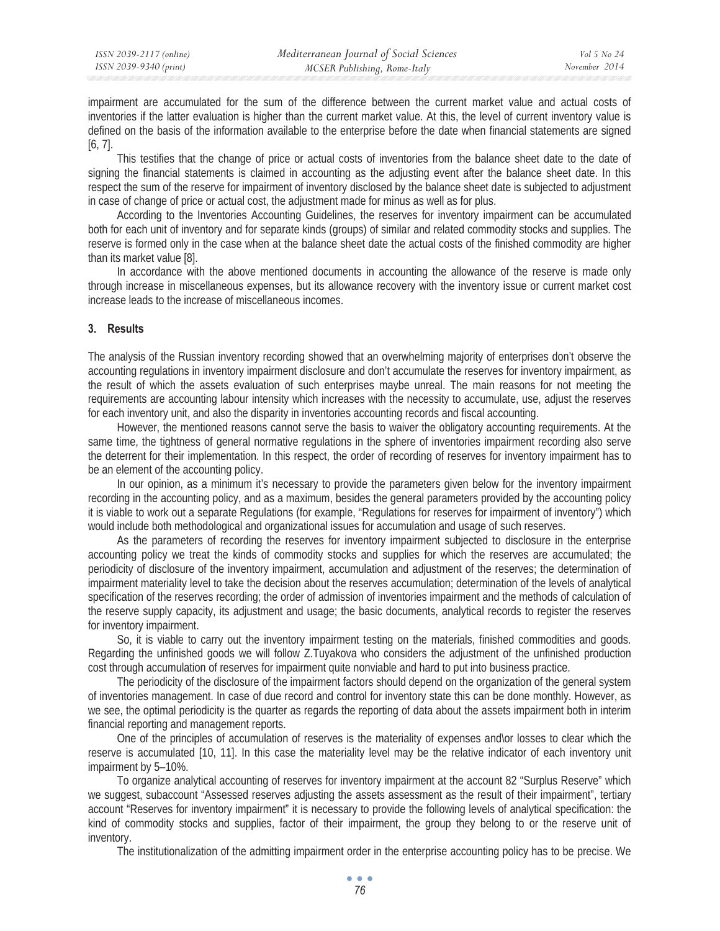impairment are accumulated for the sum of the difference between the current market value and actual costs of inventories if the latter evaluation is higher than the current market value. At this, the level of current inventory value is defined on the basis of the information available to the enterprise before the date when financial statements are signed [6, 7].

This testifies that the change of price or actual costs of inventories from the balance sheet date to the date of signing the financial statements is claimed in accounting as the adjusting event after the balance sheet date. In this respect the sum of the reserve for impairment of inventory disclosed by the balance sheet date is subjected to adjustment in case of change of price or actual cost, the adjustment made for minus as well as for plus.

According to the Inventories Accounting Guidelines, the reserves for inventory impairment can be accumulated both for each unit of inventory and for separate kinds (groups) of similar and related commodity stocks and supplies. The reserve is formed only in the case when at the balance sheet date the actual costs of the finished commodity are higher than its market value [8].

In accordance with the above mentioned documents in accounting the allowance of the reserve is made only through increase in miscellaneous expenses, but its allowance recovery with the inventory issue or current market cost increase leads to the increase of miscellaneous incomes.

#### **3. Results**

The analysis of the Russian inventory recording showed that an overwhelming majority of enterprises don't observe the accounting regulations in inventory impairment disclosure and don't accumulate the reserves for inventory impairment, as the result of which the assets evaluation of such enterprises maybe unreal. The main reasons for not meeting the requirements are accounting labour intensity which increases with the necessity to accumulate, use, adjust the reserves for each inventory unit, and also the disparity in inventories accounting records and fiscal accounting.

However, the mentioned reasons cannot serve the basis to waiver the obligatory accounting requirements. At the same time, the tightness of general normative regulations in the sphere of inventories impairment recording also serve the deterrent for their implementation. In this respect, the order of recording of reserves for inventory impairment has to be an element of the accounting policy.

In our opinion, as a minimum it's necessary to provide the parameters given below for the inventory impairment recording in the accounting policy, and as a maximum, besides the general parameters provided by the accounting policy it is viable to work out a separate Regulations (for example, "Regulations for reserves for impairment of inventory") which would include both methodological and organizational issues for accumulation and usage of such reserves.

As the parameters of recording the reserves for inventory impairment subjected to disclosure in the enterprise accounting policy we treat the kinds of commodity stocks and supplies for which the reserves are accumulated; the periodicity of disclosure of the inventory impairment, accumulation and adjustment of the reserves; the determination of impairment materiality level to take the decision about the reserves accumulation; determination of the levels of analytical specification of the reserves recording; the order of admission of inventories impairment and the methods of calculation of the reserve supply capacity, its adjustment and usage; the basic documents, analytical records to register the reserves for inventory impairment.

So, it is viable to carry out the inventory impairment testing on the materials, finished commodities and goods. Regarding the unfinished goods we will follow Z.Tuyakova who considers the adjustment of the unfinished production cost through accumulation of reserves for impairment quite nonviable and hard to put into business practice.

The periodicity of the disclosure of the impairment factors should depend on the organization of the general system of inventories management. In case of due record and control for inventory state this can be done monthly. However, as we see, the optimal periodicity is the quarter as regards the reporting of data about the assets impairment both in interim financial reporting and management reports.

One of the principles of accumulation of reserves is the materiality of expenses and\or losses to clear which the reserve is accumulated [10, 11]. In this case the materiality level may be the relative indicator of each inventory unit impairment by 5–10%.

To organize analytical accounting of reserves for inventory impairment at the account 82 "Surplus Reserve" which we suggest, subaccount "Assessed reserves adjusting the assets assessment as the result of their impairment", tertiary account "Reserves for inventory impairment" it is necessary to provide the following levels of analytical specification: the kind of commodity stocks and supplies, factor of their impairment, the group they belong to or the reserve unit of inventory.

The institutionalization of the admitting impairment order in the enterprise accounting policy has to be precise. We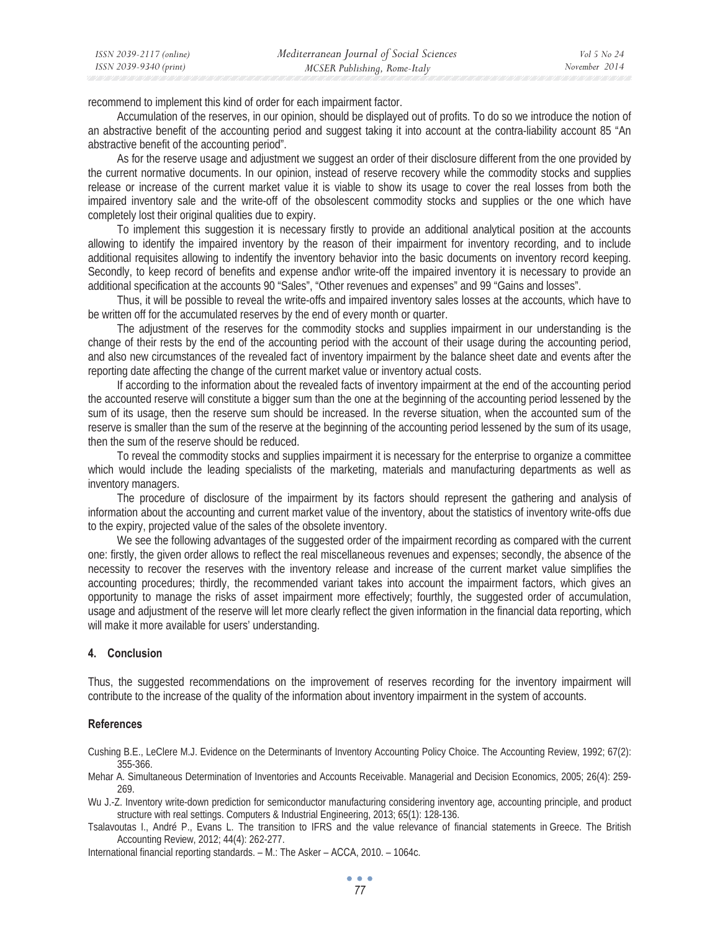| ISSN 2039-2117 (online) | Mediterranean Journal of Social Sciences | Vol 5 No 24   |
|-------------------------|------------------------------------------|---------------|
| ISSN 2039-9340 (print)  | MCSER Publishing, Rome-Italy             | November 2014 |

recommend to implement this kind of order for each impairment factor.

Accumulation of the reserves, in our opinion, should be displayed out of profits. To do so we introduce the notion of an abstractive benefit of the accounting period and suggest taking it into account at the contra-liability account 85 "An abstractive benefit of the accounting period".

As for the reserve usage and adjustment we suggest an order of their disclosure different from the one provided by the current normative documents. In our opinion, instead of reserve recovery while the commodity stocks and supplies release or increase of the current market value it is viable to show its usage to cover the real losses from both the impaired inventory sale and the write-off of the obsolescent commodity stocks and supplies or the one which have completely lost their original qualities due to expiry.

To implement this suggestion it is necessary firstly to provide an additional analytical position at the accounts allowing to identify the impaired inventory by the reason of their impairment for inventory recording, and to include additional requisites allowing to indentify the inventory behavior into the basic documents on inventory record keeping. Secondly, to keep record of benefits and expense and\or write-off the impaired inventory it is necessary to provide an additional specification at the accounts 90 "Sales", "Other revenues and expenses" and 99 "Gains and losses".

Thus, it will be possible to reveal the write-offs and impaired inventory sales losses at the accounts, which have to be written off for the accumulated reserves by the end of every month or quarter.

The adjustment of the reserves for the commodity stocks and supplies impairment in our understanding is the change of their rests by the end of the accounting period with the account of their usage during the accounting period, and also new circumstances of the revealed fact of inventory impairment by the balance sheet date and events after the reporting date affecting the change of the current market value or inventory actual costs.

If according to the information about the revealed facts of inventory impairment at the end of the accounting period the accounted reserve will constitute a bigger sum than the one at the beginning of the accounting period lessened by the sum of its usage, then the reserve sum should be increased. In the reverse situation, when the accounted sum of the reserve is smaller than the sum of the reserve at the beginning of the accounting period lessened by the sum of its usage, then the sum of the reserve should be reduced.

To reveal the commodity stocks and supplies impairment it is necessary for the enterprise to organize a committee which would include the leading specialists of the marketing, materials and manufacturing departments as well as inventory managers.

The procedure of disclosure of the impairment by its factors should represent the gathering and analysis of information about the accounting and current market value of the inventory, about the statistics of inventory write-offs due to the expiry, projected value of the sales of the obsolete inventory.

We see the following advantages of the suggested order of the impairment recording as compared with the current one: firstly, the given order allows to reflect the real miscellaneous revenues and expenses; secondly, the absence of the necessity to recover the reserves with the inventory release and increase of the current market value simplifies the accounting procedures; thirdly, the recommended variant takes into account the impairment factors, which gives an opportunity to manage the risks of asset impairment more effectively; fourthly, the suggested order of accumulation, usage and adjustment of the reserve will let more clearly reflect the given information in the financial data reporting, which will make it more available for users' understanding.

### **4. Conclusion**

Thus, the suggested recommendations on the improvement of reserves recording for the inventory impairment will contribute to the increase of the quality of the information about inventory impairment in the system of accounts.

### **References**

Cushing B.E., LeClere M.J. Evidence on the Determinants of Inventory Accounting Policy Choice. The Accounting Review, 1992; 67(2): 355-366.

Mehar A. Simultaneous Determination of Inventories and Accounts Receivable. Managerial and Decision Economics, 2005; 26(4): 259- 269.

Wu J.-Z. Inventory write-down prediction for semiconductor manufacturing considering inventory age, accounting principle, and product structure with real settings. Computers & Industrial Engineering, 2013; 65(1): 128-136.

Tsalavoutas I., André P., Evans L. The transition to IFRS and the value relevance of financial statements in Greece. The British Accounting Review, 2012; 44(4): 262-277.

International financial reporting standards. – M.: The Asker – ACCA, 2010. – 1064c.